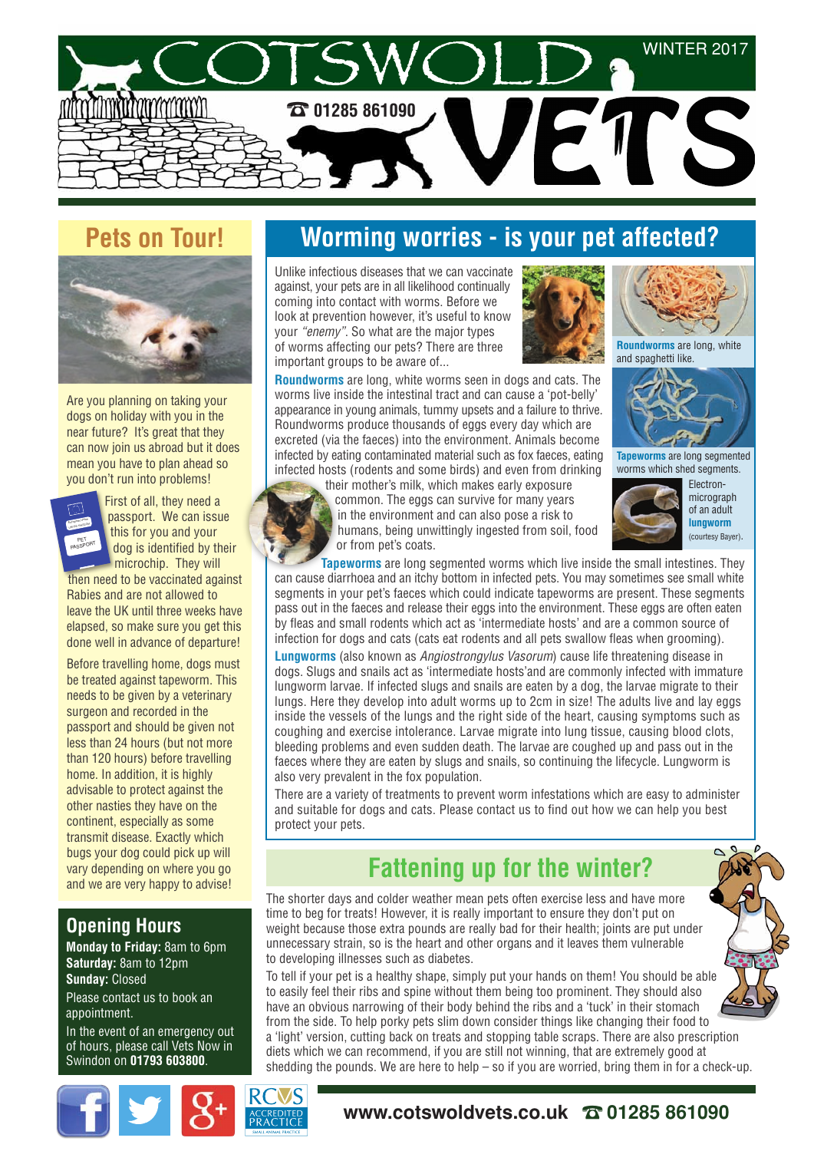

## **Pets on Tour!**



Are you planning on taking your dogs on holiday with you in the near future? It's great that they can now join us abroad but it does mean you have to plan ahead so you don't run into problems!



First of all, they need a passport. We can issue this for you and your dog is identified by their microchip. They will

then need to be vaccinated against Rabies and are not allowed to leave the UK until three weeks have elapsed, so make sure you get this done well in advance of departure!

Before travelling home, dogs must be treated against tapeworm. This needs to be given by a veterinary surgeon and recorded in the passport and should be given not less than 24 hours (but not more than 120 hours) before travelling home. In addition, it is highly advisable to protect against the other nasties they have on the continent, especially as some transmit disease. Exactly which bugs your dog could pick up will vary depending on where you go and we are very happy to advise!

#### **Opening Hours**

**Monday to Friday:** 8am to 6pm **Saturday:** 8am to 12pm **Sunday:** Closed

Please contact us to book an appointment.

In the event of an emergency out of hours, please call Vets Now in Swindon on **01793 603800**.

# **Worming worries - is your pet affected?**

Unlike infectious diseases that we can vaccinate against, your pets are in all likelihood continually coming into contact with worms. Before we look at prevention however, it's useful to know your *"enemy"*. So what are the major types of worms affecting our pets? There are three important groups to be aware of...



**Roundworms** are long, white worms seen in dogs and cats. The worms live inside the intestinal tract and can cause a 'pot-belly' appearance in young animals, tummy upsets and a failure to thrive. Roundworms produce thousands of eggs every day which are excreted (via the faeces) into the environment. Animals become infected by eating contaminated material such as fox faeces, eating infected hosts (rodents and some birds) and even from drinking



their mother's milk, which makes early exposure common. The eggs can survive for many years in the environment and can also pose a risk to humans, being unwittingly ingested from soil, food or from pet's coats.



**Roundworms** are long, white

and spaghetti like.

micrograph of an adult **lungworm** (courtesy Bayer).

**Tapeworms** are long segmented worms which live inside the small intestines. They can cause diarrhoea and an itchy bottom in infected pets. You may sometimes see small white segments in your pet's faeces which could indicate tapeworms are present. These segments pass out in the faeces and release their eggs into the environment. These eggs are often eaten by fleas and small rodents which act as 'intermediate hosts' and are a common source of infection for dogs and cats (cats eat rodents and all pets swallow fleas when grooming).

**Lungworms** (also known as *Angiostrongylus Vasorum*) cause life threatening disease in dogs. Slugs and snails act as 'intermediate hosts'and are commonly infected with immature lungworm larvae. If infected slugs and snails are eaten by a dog, the larvae migrate to their lungs. Here they develop into adult worms up to 2cm in size! The adults live and lay eggs inside the vessels of the lungs and the right side of the heart, causing symptoms such as coughing and exercise intolerance. Larvae migrate into lung tissue, causing blood clots, bleeding problems and even sudden death. The larvae are coughed up and pass out in the faeces where they are eaten by slugs and snails, so continuing the lifecycle. Lungworm is also very prevalent in the fox population.

There are a variety of treatments to prevent worm infestations which are easy to administer and suitable for dogs and cats. Please contact us to find out how we can help you best protect your pets.

# **Fattening up for the winter?**

The shorter days and colder weather mean pets often exercise less and have more time to beg for treats! However, it is really important to ensure they don't put on weight because those extra pounds are really bad for their health; joints are put under unnecessary strain, so is the heart and other organs and it leaves them vulnerable to developing illnesses such as diabetes.

To tell if your pet is a healthy shape, simply put your hands on them! You should be able to easily feel their ribs and spine without them being too prominent. They should also have an obvious narrowing of their body behind the ribs and a 'tuck' in their stomach from the side. To help porky pets slim down consider things like changing their food to a 'light' version, cutting back on treats and stopping table scraps. There are also prescription diets which we can recommend, if you are still not winning, that are extremely good at shedding the pounds. We are here to help – so if you are worried, bring them in for a check-up.



#### **www.cotswoldvets.co.uk** ☎**01285 861090**